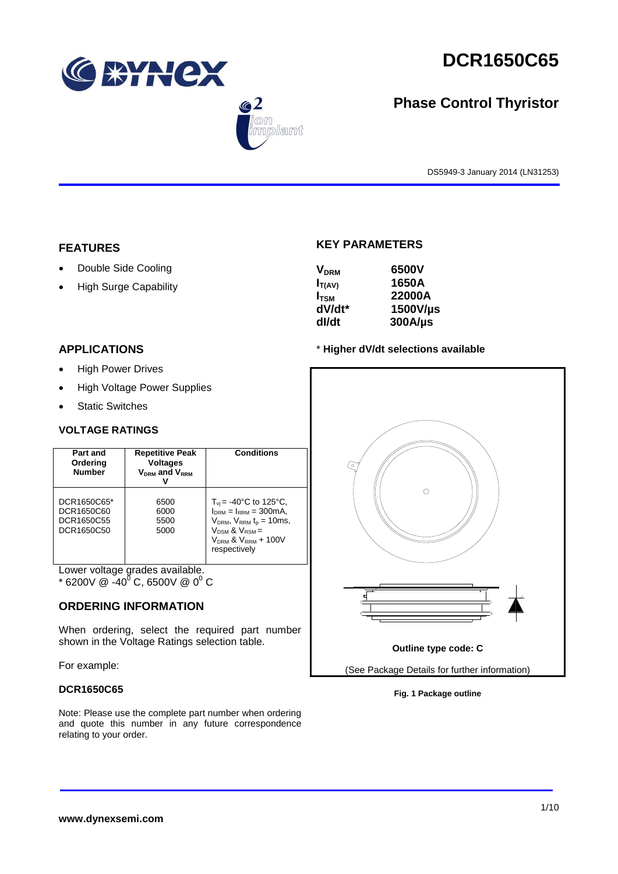





# **Phase Control Thyristor**

DS5949-3 January 2014 (LN31253)

# **FEATURES**

- Double Side Cooling
- High Surge Capability

# **APPLICATIONS**

- High Power Drives
- High Voltage Power Supplies
- Static Switches

# **VOLTAGE RATINGS**

| Part and<br>Ordering<br><b>Number</b>                 | <b>Repetitive Peak</b><br><b>Voltages</b><br>$V_{DRM}$ and $V_{RRM}$ | <b>Conditions</b>                                                                                                                                                                                |
|-------------------------------------------------------|----------------------------------------------------------------------|--------------------------------------------------------------------------------------------------------------------------------------------------------------------------------------------------|
| DCR1650C65*<br>DCR1650C60<br>DCR1650C55<br>DCR1650C50 | 6500<br>6000<br>5500<br>5000                                         | $T_{\rm vi}$ = -40°C to 125°C,<br>$I_{DRM} = I_{RRM} = 300 \text{mA}$<br>$V_{DRM}$ , $V_{RRM}$ t <sub>p</sub> = 10ms,<br>$V_{DSM}$ & $V_{RSM}$ =<br>$V_{DRM}$ & $V_{RRM}$ + 100V<br>respectively |

Lower voltage grades available.

 $*$  6200V @ -40<sup>0</sup> C, 6500V @ 0<sup>0</sup> C

# **ORDERING INFORMATION**

When ordering, select the required part number shown in the Voltage Ratings selection table.

For example:

## **DCR1650C65**

Note: Please use the complete part number when ordering and quote this number in any future correspondence relating to your order.

# **KEY PARAMETERS**

| <b>V<sub>DRM</sub></b> | 6500V        |
|------------------------|--------------|
| $I_{T(AV)}$            | 1650A        |
| $I_{TSM}$              | 22000A       |
| dV/dt*                 | 1500V/µs     |
| dl/dt                  | $300A/\mu s$ |

## \* **Higher dV/dt selections available**



**Fig. 1 Package outline**

# **www.dynexsemi.com**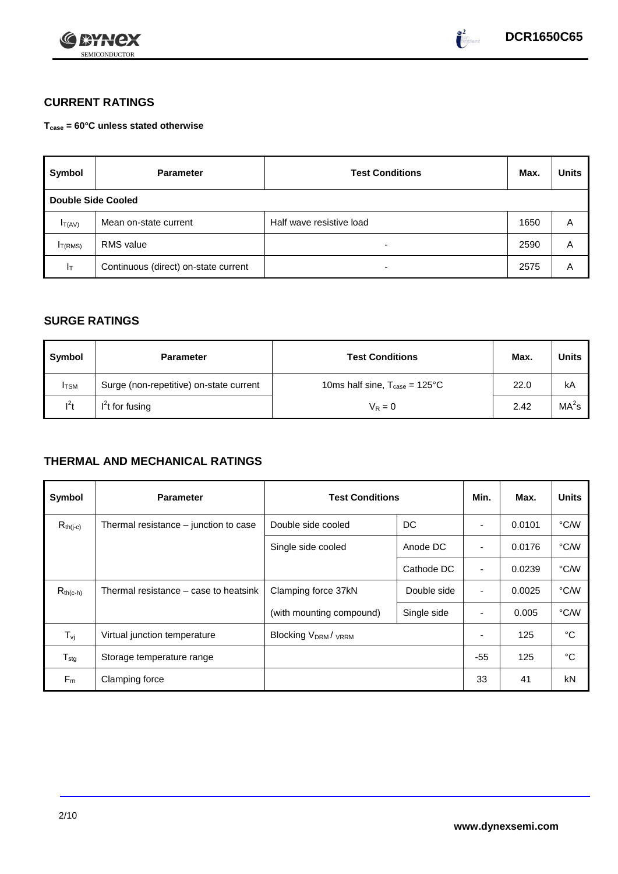



# **CURRENT RATINGS**

**Tcase = 60°C unless stated otherwise**

| Symbol                    | <b>Parameter</b>                     | <b>Test Conditions</b>   |      | <b>Units</b> |
|---------------------------|--------------------------------------|--------------------------|------|--------------|
| <b>Double Side Cooled</b> |                                      |                          |      |              |
| $I_{T(AV)}$               | Mean on-state current                | Half wave resistive load | 1650 | A            |
| I <sub>T(RMS)</sub>       | RMS value                            | -                        | 2590 | Α            |
| Iт                        | Continuous (direct) on-state current |                          | 2575 | Α            |

# **SURGE RATINGS**

| Symbol       | <b>Parameter</b>                        | <b>Test Conditions</b>                           | Max. | Units             |
|--------------|-----------------------------------------|--------------------------------------------------|------|-------------------|
| <b>I</b> TSM | Surge (non-repetitive) on-state current | 10ms half sine, $T_{\text{case}} = 125^{\circ}C$ | 22.0 | kA                |
| $l^2t$       | $I2t$ for fusing                        | $V_R = 0$                                        | 2.42 | MA <sup>2</sup> s |

# **THERMAL AND MECHANICAL RATINGS**

| Symbol           | <b>Parameter</b>                      | <b>Test Conditions</b>    |             | Min.                     | Max.   | <b>Units</b> |
|------------------|---------------------------------------|---------------------------|-------------|--------------------------|--------|--------------|
| $R_{th(j-c)}$    | Thermal resistance – junction to case | Double side cooled        | DC          |                          | 0.0101 | °C/W         |
|                  |                                       | Single side cooled        | Anode DC    |                          | 0.0176 | °C/W         |
|                  |                                       |                           | Cathode DC  | $\overline{\phantom{a}}$ | 0.0239 | °C/W         |
| $R_{th(c-h)}$    | Thermal resistance – case to heatsink | Clamping force 37kN       | Double side | $\blacksquare$           | 0.0025 | °C/W         |
|                  |                                       | (with mounting compound)  | Single side | $\blacksquare$           | 0.005  | °C/W         |
| $T_{\rm vj}$     | Virtual junction temperature          | <b>Blocking VDRM/VRRM</b> |             |                          | 125    | °C           |
| $T_{\text{stg}}$ | Storage temperature range             |                           |             | $-55$                    | 125    | °C           |
| $F_m$            | Clamping force                        |                           |             | 33                       | 41     | kN           |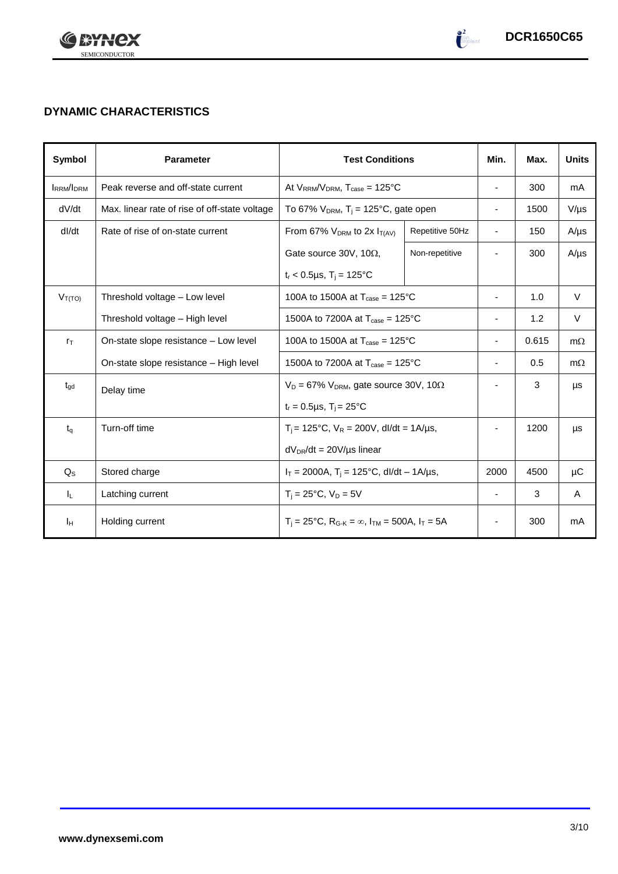

# **DYNAMIC CHARACTERISTICS**

| <b>Symbol</b>    | <b>Parameter</b>                              | <b>Test Conditions</b>                                                                          |                 | Min.                     | Max.  | <b>Units</b> |
|------------------|-----------------------------------------------|-------------------------------------------------------------------------------------------------|-----------------|--------------------------|-------|--------------|
| <b>IRRM/IDRM</b> | Peak reverse and off-state current            | At $V_{RRM}/V_{DRM}$ , $T_{case} = 125^{\circ}C$                                                |                 | $\overline{\phantom{a}}$ | 300   | mA           |
| dV/dt            | Max. linear rate of rise of off-state voltage | To 67% $V_{DRM}$ , T <sub>i</sub> = 125°C, gate open                                            |                 | $\overline{\phantom{a}}$ | 1500  | $V/\mu s$    |
| dl/dt            | Rate of rise of on-state current              | From 67% $V_{DRM}$ to 2x $I_{T(AV)}$                                                            | Repetitive 50Hz | $\overline{\phantom{a}}$ | 150   | $A/\mu s$    |
|                  |                                               | Gate source 30V, 10 $\Omega$ ,                                                                  | Non-repetitive  |                          | 300   | $A/\mu s$    |
|                  |                                               | $t_r < 0.5 \mu s$ , T <sub>i</sub> = 125°C                                                      |                 |                          |       |              |
| $V_{T(TO)}$      | Threshold voltage - Low level                 | 100A to 1500A at $T_{\text{case}} = 125^{\circ}$ C                                              |                 | $\overline{\phantom{a}}$ | 1.0   | $\vee$       |
|                  | Threshold voltage - High level                | 1500A to 7200A at $T_{\text{case}} = 125^{\circ}C$                                              |                 | $\overline{\phantom{a}}$ | 1.2   | V            |
| $r_{\text{T}}$   | On-state slope resistance - Low level         | 100A to 1500A at $T_{\text{case}} = 125^{\circ}$ C                                              |                 | $\overline{\phantom{a}}$ | 0.615 | $m\Omega$    |
|                  | On-state slope resistance – High level        | 1500A to 7200A at $T_{\text{case}} = 125^{\circ}C$                                              |                 | $\overline{\phantom{a}}$ | 0.5   | $m\Omega$    |
| $t_{\rm gd}$     | Delay time                                    | $V_D = 67\% V_{DRM}$ , gate source 30V, 10 $\Omega$                                             |                 |                          | 3     | μs           |
|                  |                                               | $t_r = 0.5 \mu s$ , $T_i = 25^{\circ}C$                                                         |                 |                          |       |              |
| $t_q$            | Turn-off time                                 | $T_i$ = 125°C, $V_R$ = 200V, dl/dt = 1A/µs,                                                     |                 |                          | 1200  | μs           |
|                  |                                               | $dV_{DR}/dt = 20V/\mu s$ linear                                                                 |                 |                          |       |              |
| $Q_{S}$          | Stored charge                                 | $I_T = 2000A$ , $T_i = 125^{\circ}C$ , dl/dt – 1A/µs,                                           |                 | 2000                     | 4500  | μC           |
| IL.              | Latching current                              | $T_i = 25^{\circ}C$ , $V_D = 5V$                                                                |                 | $\overline{\phantom{a}}$ | 3     | A            |
| Iн               | Holding current                               | $T_i = 25^{\circ}C$ , R <sub>G-K</sub> = $\infty$ , I <sub>TM</sub> = 500A, I <sub>T</sub> = 5A |                 | $\overline{\phantom{a}}$ | 300   | mA           |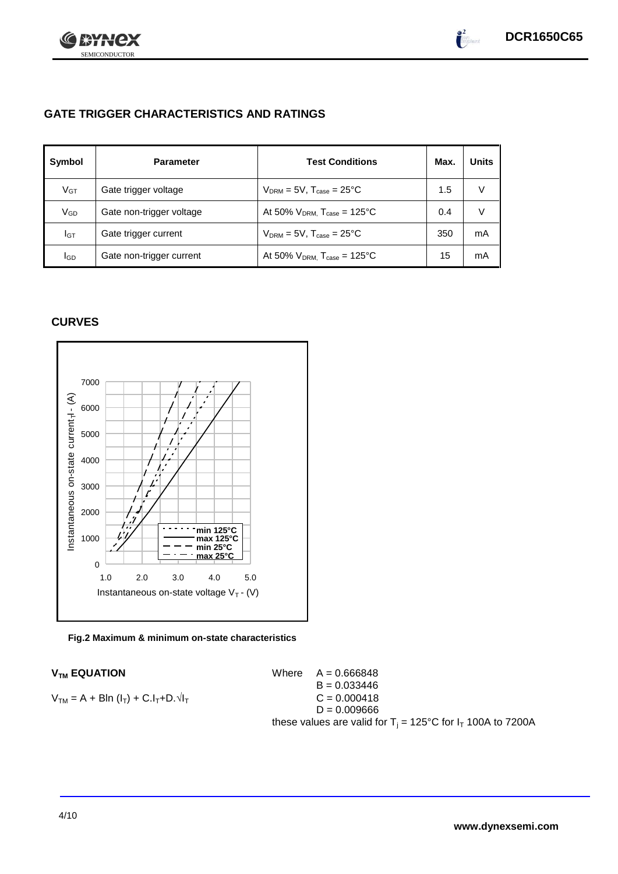

# **GATE TRIGGER CHARACTERISTICS AND RATINGS**

| Symbol          | <b>Parameter</b>         | <b>Test Conditions</b>                       | Max. | <b>Units</b> |
|-----------------|--------------------------|----------------------------------------------|------|--------------|
| V <sub>GT</sub> | Gate trigger voltage     | $V_{DRM} = 5V$ , $T_{case} = 25^{\circ}C$    | 1.5  | V            |
| VGD             | Gate non-trigger voltage | At 50% $V_{DRM}$ , $T_{case} = 125^{\circ}C$ | 0.4  | V            |
| IGТ             | Gate trigger current     | $V_{DRM}$ = 5V, $T_{case}$ = 25°C            | 350  | mA           |
| lgd             | Gate non-trigger current | At 50% $V_{DRM}$ , $T_{case} = 125^{\circ}C$ | 15   | mA           |

# **CURVES**



## **Fig.2 Maximum & minimum on-state characteristics**

 $V_{TM}$  **EQUATION** Where  $A = 0.666848$  $B = 0.033446$  $V_{TM} = A + B\ln(I_T) + C.I_T + D.\sqrt{I_T}$  C = 0.000418  $D = 0.009666$ these values are valid for  $T_i = 125^{\circ}C$  for  $I_T$  100A to 7200A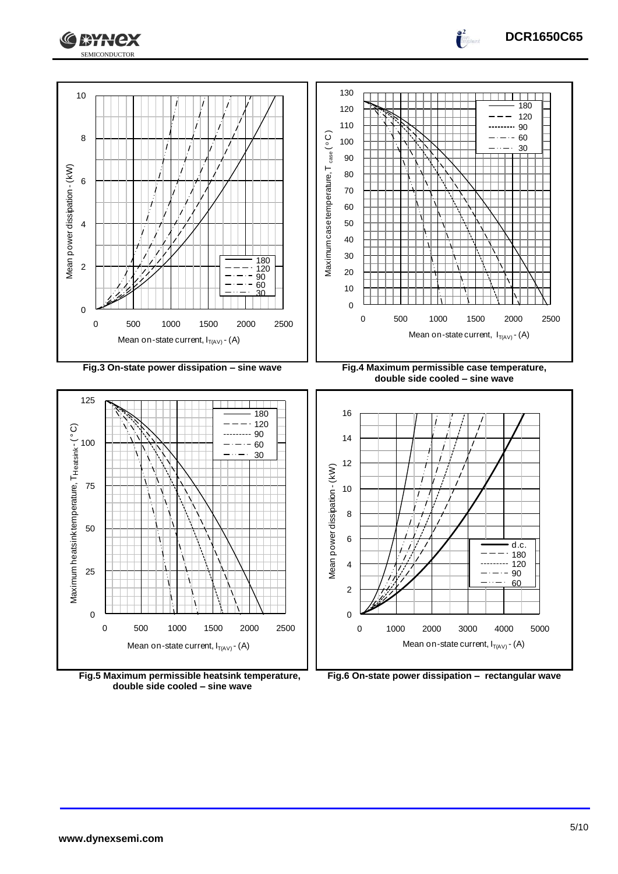

**DCR1650C65**





**Fig.6 On-state power dissipation – rectangular wave**

**Fig.5 Maximum permissible heatsink temperature, double side cooled – sine wave**

Mean on-state current,  $I_{T(AV)}$  - (A)

0 500 1000 1500 2000 2500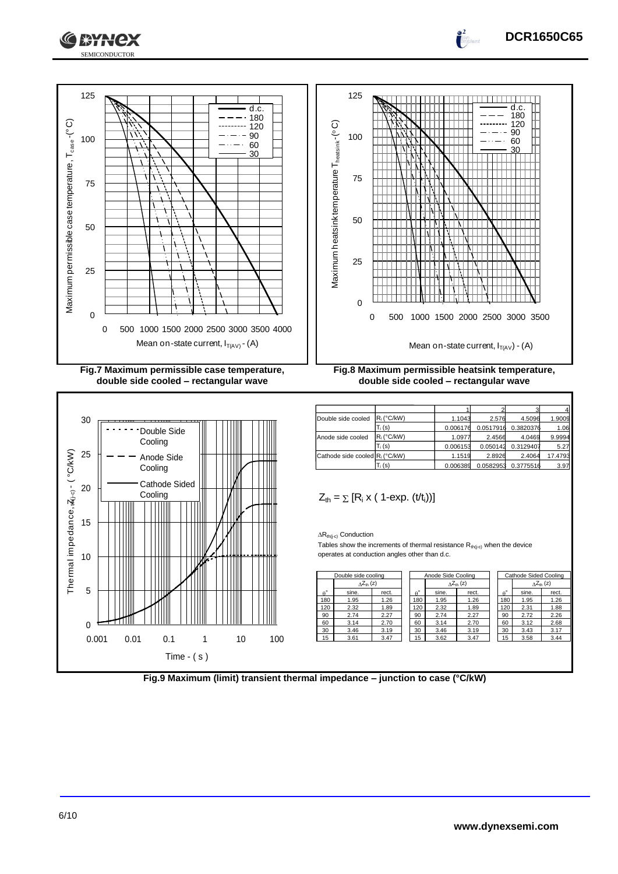





**double side cooled – rectangular wave**





**double side cooled – rectangular wave**

$$
Z_{th} = \sum [R_i \times (1-\exp. (t/t_i))]
$$

|                  | Cathode side cooled R <sub>i</sub> (°C/kW)                                                                                                                        |          |                  |                           | 1.1519 | 2.8926           | 2.4064                | 17.47                      |
|------------------|-------------------------------------------------------------------------------------------------------------------------------------------------------------------|----------|------------------|---------------------------|--------|------------------|-----------------------|----------------------------|
|                  |                                                                                                                                                                   | $T_i(s)$ |                  | 0.006389                  |        | 0.0582953        | 0.3775516             | 3.9                        |
|                  | $Z_{\text{th}} = \sum [R_i \times (1 - \exp. (t/t_i))]$                                                                                                           |          |                  |                           |        |                  |                       |                            |
|                  | $\Delta R_{th(i-c)}$ Conduction<br>Tables show the increments of thermal resistance $R_{th(ic)}$ when the device<br>operates at conduction angles other than d.c. |          |                  |                           |        |                  |                       |                            |
|                  | Double side cooling                                                                                                                                               |          |                  | Anode Side Cooling        |        |                  | Cathode Sided Cooling |                            |
|                  | $\Delta Z_{\text{th}}(z)$                                                                                                                                         |          |                  | $\Delta Z_{\text{th}}(z)$ |        |                  |                       | $\Delta Z_{\text{th}}$ (z) |
| $\theta^{\circ}$ | sine.                                                                                                                                                             | rect.    | $\theta^{\circ}$ | sine.                     | rect.  | $\theta^{\circ}$ | sine.                 | rect.                      |
| 180              | 1.95                                                                                                                                                              | 1.26     | 180              | 1.95                      | 1.26   | 180              | 1.95                  | 1.26                       |
| 120              | 2.32                                                                                                                                                              | 1.89     | 120              | 2.32                      | 1.89   | 120              | 2.31                  | 1.88                       |
| 90               | 2.74                                                                                                                                                              | 2.27     | 90               | 2.74                      | 2.27   | 90               | 2.72                  | 2.26                       |
| 60               | 3.14                                                                                                                                                              | 2.70     | 60               | 3.14                      | 2.70   | 60               | 3.12                  | 2.68                       |
| 30               | 3.46<br>3.61                                                                                                                                                      | 3.19     | 30               | 3.46                      | 3.19   | 30               | 3.43                  | 3.17                       |
| 15               |                                                                                                                                                                   | 3.47     | 15               | 3.62                      | 3.47   | 15               | 3.58                  | 3.44                       |

| Anode Side Cooling                                    |                           |       |  | Cathode Sided Cooling |                            |       |
|-------------------------------------------------------|---------------------------|-------|--|-----------------------|----------------------------|-------|
|                                                       | $\Delta Z_{\text{th}}(z)$ |       |  |                       | $\Delta Z_{\text{th}}$ (z) |       |
| $\theta^{\circ}$                                      | sine.                     | rect. |  | $\alpha^{\circ}$      | sine.                      | rect. |
| 180                                                   | 1.95                      | 1.26  |  | 180                   | 1.95                       | 1.26  |
| 120                                                   | 2.32                      | 1.89  |  | 120                   | 2.31                       | 1.88  |
| 90                                                    | 2.74                      | 2.27  |  | 90                    | 2.72                       | 2.26  |
| 60                                                    | 3.14                      | 2.70  |  | 60                    | 3.12                       | 2.68  |
| 30                                                    | 3.46                      | 3.19  |  | 30                    | 3.43                       | 3.17  |
| 15                                                    | 3.62                      | 3.47  |  | 15                    | 3.58                       | 3.44  |
|                                                       |                           |       |  |                       |                            |       |
| rect.<br>1.26<br>1.89<br>2.27<br>2.70<br>3.19<br>3.47 |                           |       |  |                       |                            |       |



Mean on-state current, IT(AV) - (A)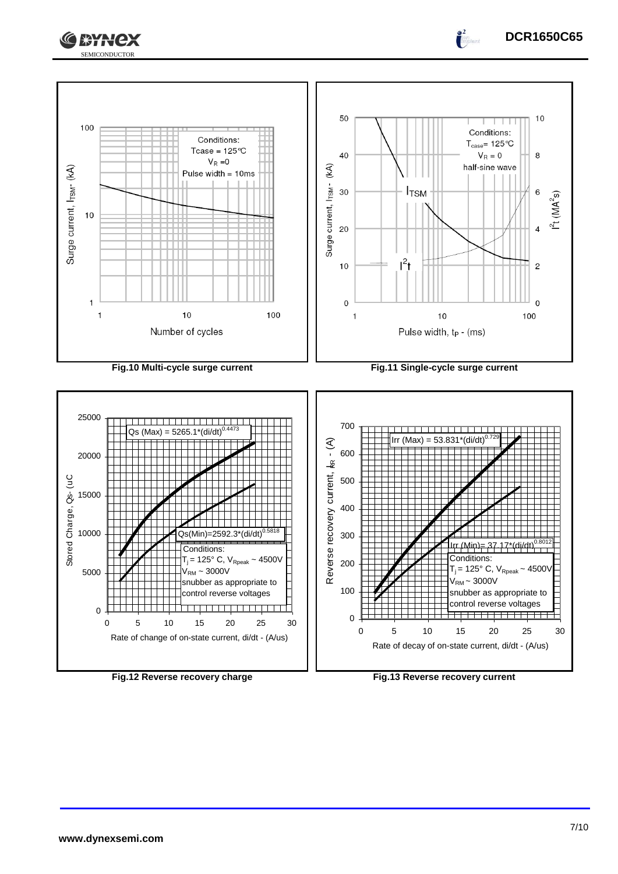





**Fig.12 Reverse recovery charge Fig.13 Reverse recovery current**

Rate of change of on-state current, di/dt - (A/us)

Rate of decay of on-state current, di/dt - (A/us)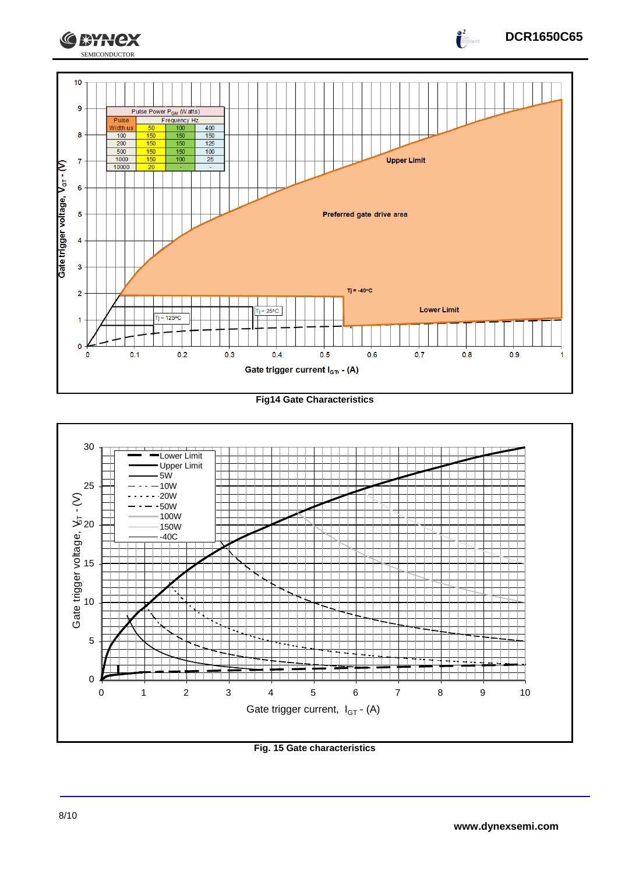

**Fig14 Gate Characteristics**



**Fig. 15 Gate characteristics**

**DCR1650C65**

 $\int_{0}^{2}$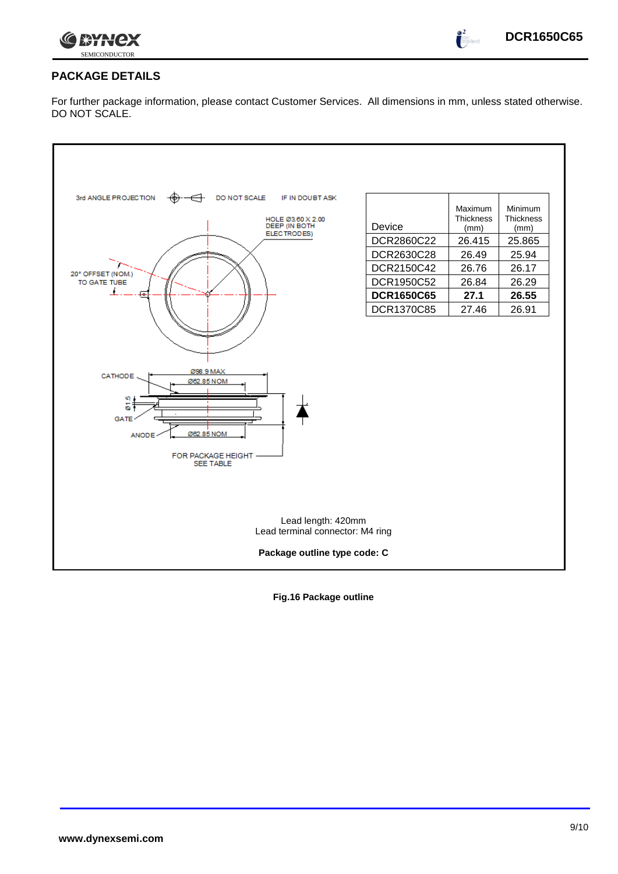

 $\int_0^2$ 

# **PACKAGE DETAILS**

For further package information, please contact Customer Services. All dimensions in mm, unless stated otherwise. DO NOT SCALE.



**Fig.16 Package outline**